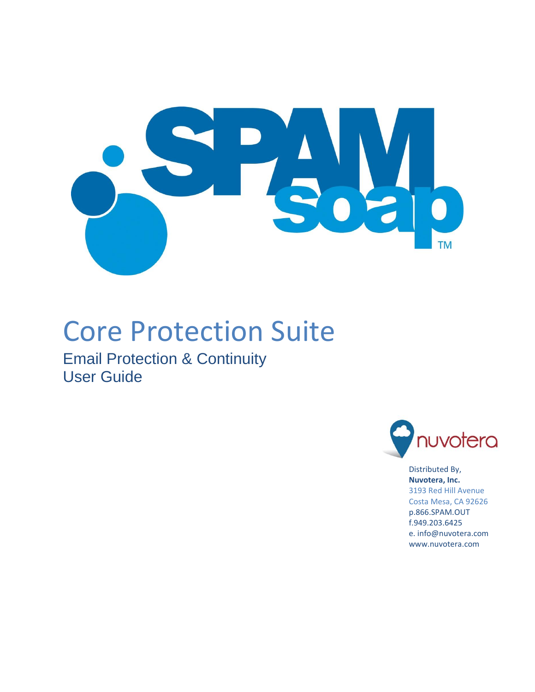

# Core Protection Suite

Email Protection & Continuity User Guide



Distributed By, **Nuvotera, Inc.** 3193 Red Hill Avenue Costa Mesa, CA 92626 p.866.SPAM.OUT f.949.203.6425 e. info@nuvotera.com www.nuvotera.com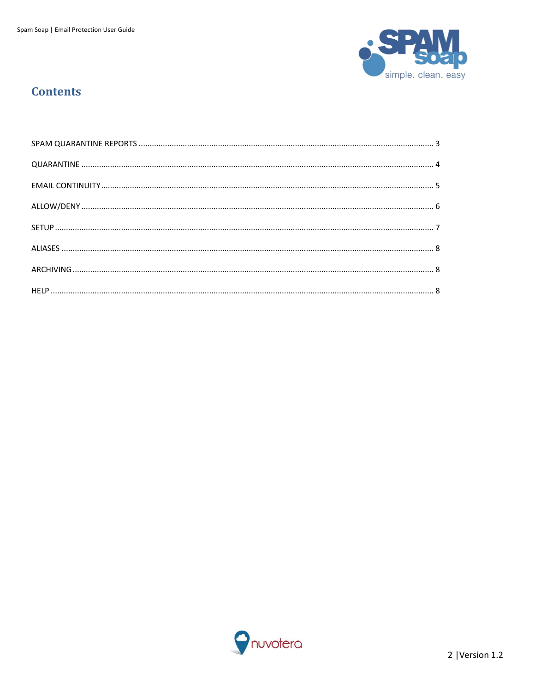

## **Contents**

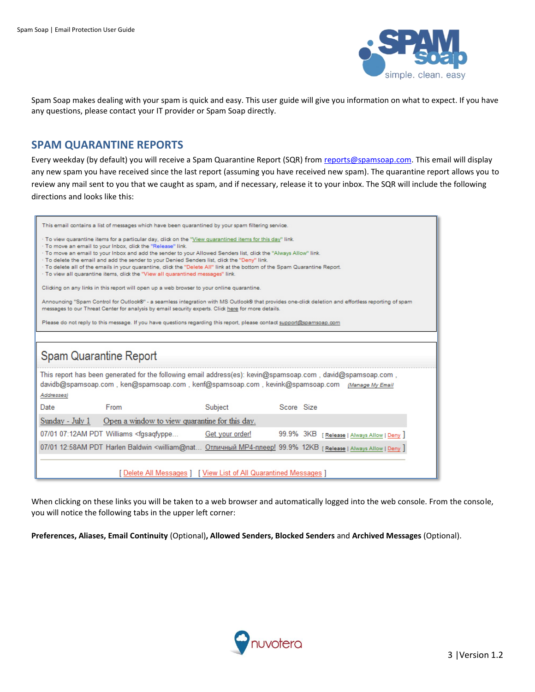

<span id="page-2-0"></span>Spam Soap makes dealing with your spam is quick and easy. This user guide will give you information on what to expect. If you have any questions, please contact your IT provider or Spam Soap directly.

#### **SPAM QUARANTINE REPORTS**

Every weekday (by default) you will receive a Spam Quarantine Report (SQR) from [reports@spamsoap.com.](mailto:reports@spamsoap.com) This email will display any new spam you have received since the last report (assuming you have received new spam). The quarantine report allows you to review any mail sent to you that we caught as spam, and if necessary, release it to your inbox. The SQR will include the following directions and looks like this:

| This email contains a list of messages which have been quarantined by your spam filtering service.                                                                                                                                                                                                                                                                                                                                                                                                                                                                                                            |                                                                                                                                                                                                                                                          |                 |            |                                 |  |  |  |  |
|---------------------------------------------------------------------------------------------------------------------------------------------------------------------------------------------------------------------------------------------------------------------------------------------------------------------------------------------------------------------------------------------------------------------------------------------------------------------------------------------------------------------------------------------------------------------------------------------------------------|----------------------------------------------------------------------------------------------------------------------------------------------------------------------------------------------------------------------------------------------------------|-----------------|------------|---------------------------------|--|--|--|--|
| · To view quarantine items for a particular day, click on the "View quarantined items for this day" link.<br>· To move an email to your Inbox, click the "Release" link.<br>· To move an email to your Inbox and add the sender to your Allowed Senders list, click the "Always Allow" link.<br>. To delete the email and add the sender to your Denied Senders list, click the "Deny" link.<br>· To delete all of the emails in your quarantine, click the "Delete All" link at the bottom of the Spam Quarantine Report.<br>· To view all quarantine items, click the "View all quarantined messages" link. |                                                                                                                                                                                                                                                          |                 |            |                                 |  |  |  |  |
|                                                                                                                                                                                                                                                                                                                                                                                                                                                                                                                                                                                                               | Clicking on any links in this report will open up a web browser to your online quarantine.                                                                                                                                                               |                 |            |                                 |  |  |  |  |
|                                                                                                                                                                                                                                                                                                                                                                                                                                                                                                                                                                                                               | Announcing "Spam Control for Outlook®" - a seamless integration with MS Outlook® that provides one-click deletion and effortless reporting of spam<br>messages to our Threat Center for analysis by email security experts. Click here for more details. |                 |            |                                 |  |  |  |  |
|                                                                                                                                                                                                                                                                                                                                                                                                                                                                                                                                                                                                               | Please do not reply to this message. If you have questions regarding this report, please contact support@spamsoap.com                                                                                                                                    |                 |            |                                 |  |  |  |  |
|                                                                                                                                                                                                                                                                                                                                                                                                                                                                                                                                                                                                               |                                                                                                                                                                                                                                                          |                 |            |                                 |  |  |  |  |
| Spam Quarantine Report                                                                                                                                                                                                                                                                                                                                                                                                                                                                                                                                                                                        |                                                                                                                                                                                                                                                          |                 |            |                                 |  |  |  |  |
| Addresses)                                                                                                                                                                                                                                                                                                                                                                                                                                                                                                                                                                                                    | This report has been generated for the following email address(es): kevin@spamsoap.com, david@spamsoap.com,<br>davidb@spamsoap.com, ken@spamsoap.com, kenf@spamsoap.com, kevink@spamsoap.com (Manage My Email                                            |                 |            |                                 |  |  |  |  |
| Date                                                                                                                                                                                                                                                                                                                                                                                                                                                                                                                                                                                                          | <b>From</b>                                                                                                                                                                                                                                              | Subject         | Score Size |                                 |  |  |  |  |
| Sunday - July 1                                                                                                                                                                                                                                                                                                                                                                                                                                                                                                                                                                                               | Open a window to view quarantine for this day.                                                                                                                                                                                                           |                 |            |                                 |  |  |  |  |
|                                                                                                                                                                                                                                                                                                                                                                                                                                                                                                                                                                                                               | 07/01 07:12AM PDT Williams <fgsaqfyppe< td=""><td>Get your order!</td><td>99.9% 3KB</td><td>[ Release   Always Allow   Deny</td></fgsaqfyppe<>                                                                                                           | Get your order! | 99.9% 3KB  | [ Release   Always Allow   Deny |  |  |  |  |
| 07/01 12:58AM PDT Harlen Baldwin <william@nat 12кв="" 99.9%="" [release="" allow="" always="" deny<="" mp4-плеер!="" td=""  ="" отличный=""></william@nat>                                                                                                                                                                                                                                                                                                                                                                                                                                                    |                                                                                                                                                                                                                                                          |                 |            |                                 |  |  |  |  |
| [ Delete All Messages ] [ View List of All Quarantined Messages ]                                                                                                                                                                                                                                                                                                                                                                                                                                                                                                                                             |                                                                                                                                                                                                                                                          |                 |            |                                 |  |  |  |  |

When clicking on these links you will be taken to a web browser and automatically logged into the web console. From the console, you will notice the following tabs in the upper left corner:

**Preferences, Aliases, Email Continuity** (Optional)**, Allowed Senders, Blocked Senders** and **Archived Messages** (Optional).

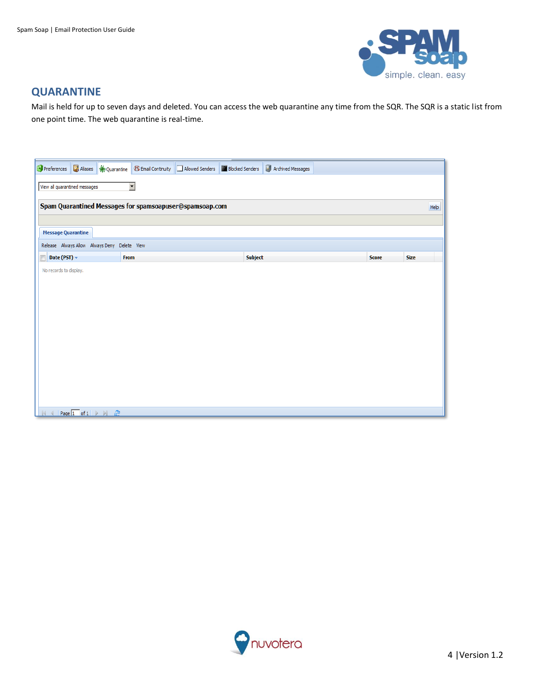

## <span id="page-3-0"></span>**QUARANTINE**

Mail is held for up to seven days and deleted. You can access the web quarantine any time from the SQR. The SQR is a static list from one point time. The web quarantine is real-time.

| $H$ Preferences                                                 | ■ Aliases <del>★</del> Quarantine B Email Continuity □ Allowed Senders | <b>Blocked Senders</b> | Archived Messages |  |              |             |  |  |  |  |
|-----------------------------------------------------------------|------------------------------------------------------------------------|------------------------|-------------------|--|--------------|-------------|--|--|--|--|
| $\overline{\phantom{a}}$<br>View all quarantined messages       |                                                                        |                        |                   |  |              |             |  |  |  |  |
|                                                                 | Spam Quarantined Messages for spamsoapuser@spamsoap.com                |                        |                   |  |              |             |  |  |  |  |
|                                                                 |                                                                        |                        |                   |  |              | Help        |  |  |  |  |
| <b>Message Quarantine</b>                                       |                                                                        |                        |                   |  |              |             |  |  |  |  |
|                                                                 | Release Always Allow Always Deny Delete View                           |                        |                   |  |              |             |  |  |  |  |
| Date (PST) v<br>$\Box$                                          | From                                                                   |                        | Subject           |  | <b>Score</b> | <b>Size</b> |  |  |  |  |
| No records to display.                                          |                                                                        |                        |                   |  |              |             |  |  |  |  |
|                                                                 |                                                                        |                        |                   |  |              |             |  |  |  |  |
|                                                                 |                                                                        |                        |                   |  |              |             |  |  |  |  |
|                                                                 |                                                                        |                        |                   |  |              |             |  |  |  |  |
|                                                                 |                                                                        |                        |                   |  |              |             |  |  |  |  |
|                                                                 |                                                                        |                        |                   |  |              |             |  |  |  |  |
|                                                                 |                                                                        |                        |                   |  |              |             |  |  |  |  |
|                                                                 |                                                                        |                        |                   |  |              |             |  |  |  |  |
|                                                                 |                                                                        |                        |                   |  |              |             |  |  |  |  |
|                                                                 |                                                                        |                        |                   |  |              |             |  |  |  |  |
| Page $1$ of $1 \rightarrow \rightarrow \rightarrow \rightarrow$ |                                                                        |                        |                   |  |              |             |  |  |  |  |

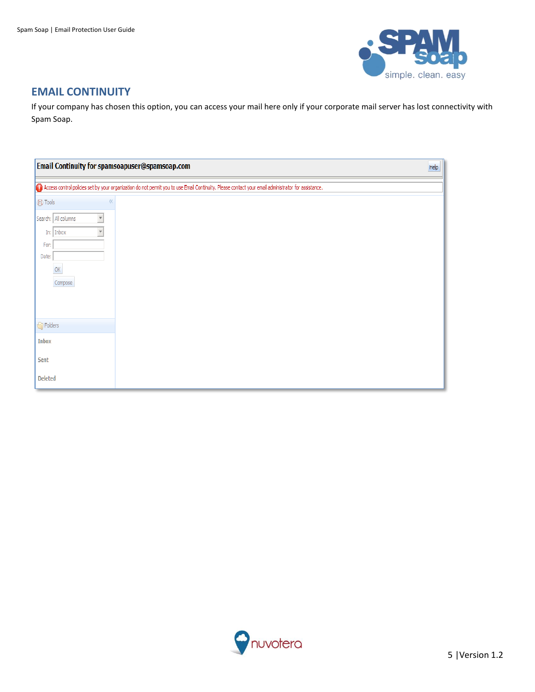

### <span id="page-4-0"></span>**EMAIL CONTINUITY**

If your company has chosen this option, you can access your mail here only if your corporate mail server has lost connectivity with Spam Soap.

| Email Continuity for spamsoapuser@spamsoap.com                                                                        | He                                                                                                                                                  |  |
|-----------------------------------------------------------------------------------------------------------------------|-----------------------------------------------------------------------------------------------------------------------------------------------------|--|
|                                                                                                                       | Access control policies set by your organization do not permit you to use Email Continuity. Please contact your email administrator for assistance. |  |
| (B) Tools<br>巜<br>Search: All columns<br>$\overline{\mathbf v}$<br>$In:$ Inbox<br>V<br>For:<br>Date:<br>OK<br>Compose |                                                                                                                                                     |  |
| <b>G</b> Folders                                                                                                      |                                                                                                                                                     |  |
| Inbox                                                                                                                 |                                                                                                                                                     |  |
| Sent                                                                                                                  |                                                                                                                                                     |  |
| <b>Deleted</b>                                                                                                        |                                                                                                                                                     |  |

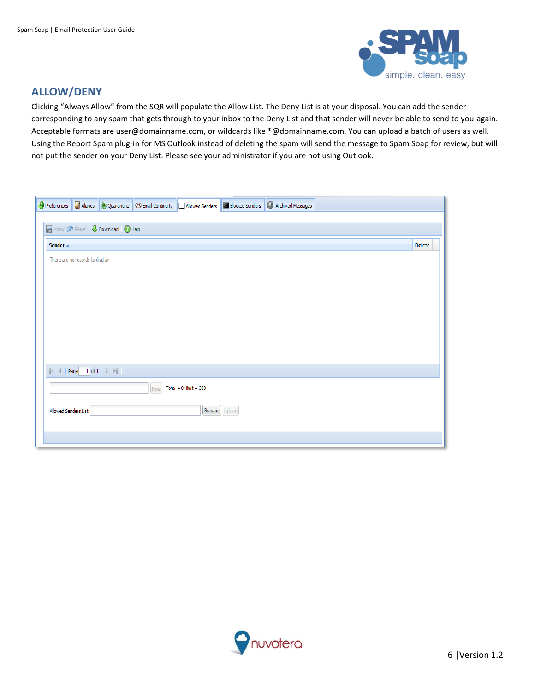

## <span id="page-5-0"></span>**ALLOW/DENY**

Clicking "Always Allow" from the SQR will populate the Allow List. The Deny List is at your disposal. You can add the sender corresponding to any spam that gets through to your inbox to the Deny List and that sender will never be able to send to you again. Acceptable formats are user@domainname.com, or wildcards like \*@domainname.com. You can upload a batch of users as well. Using the Report Spam plug-in for MS Outlook instead of deleting the spam will send the message to Spam Soap for review, but will not put the sender on your Deny List. Please see your administrator if you are not using Outlook.

|                                 |  |                                                                 |  |                                 |               | By Preferences <b>C</b> Aliases <b>*</b> Quarantine <b>8</b> Email Continuity <b>Allowed Senders M</b> Blocked Senders <b>C</b> Archived Messages |               |
|---------------------------------|--|-----------------------------------------------------------------|--|---------------------------------|---------------|---------------------------------------------------------------------------------------------------------------------------------------------------|---------------|
|                                 |  |                                                                 |  |                                 |               |                                                                                                                                                   |               |
|                                 |  | Apply Reset   <b>U</b> Download   2 Help                        |  |                                 |               |                                                                                                                                                   |               |
| Sender A                        |  |                                                                 |  |                                 |               |                                                                                                                                                   | <b>Delete</b> |
| There are no records to display |  |                                                                 |  |                                 |               |                                                                                                                                                   |               |
|                                 |  | $\mathbb{N}$ $\mathbb{N}$ Page 1 of 1 $\mathbb{N}$ $\mathbb{N}$ |  |                                 |               |                                                                                                                                                   |               |
|                                 |  |                                                                 |  | New $Total = 0$ ; $limit = 300$ |               |                                                                                                                                                   |               |
| Allowed Senders List:           |  |                                                                 |  |                                 | Browse Upload |                                                                                                                                                   |               |
|                                 |  |                                                                 |  |                                 |               |                                                                                                                                                   |               |

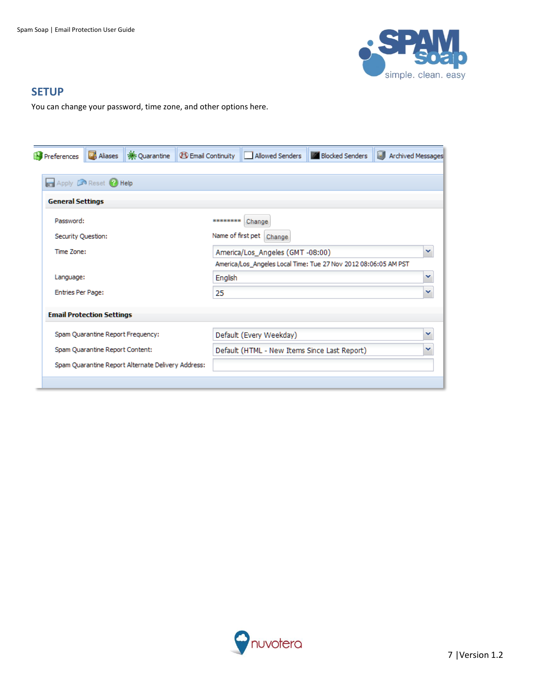

#### <span id="page-6-0"></span>**SETUP**

You can change your password, time zone, and other options here.

| Preferences                        | <b>D</b> , Aliases                | <b>※ Quarantine</b>                                | <b>B</b> Email Continuity | Allowed Senders                                                 | <b>Blocked Senders</b> | Archived Messages |  |  |
|------------------------------------|-----------------------------------|----------------------------------------------------|---------------------------|-----------------------------------------------------------------|------------------------|-------------------|--|--|
|                                    |                                   |                                                    |                           |                                                                 |                        |                   |  |  |
| Apply <b>A</b> Reset <b>A</b> Help |                                   |                                                    |                           |                                                                 |                        |                   |  |  |
| <b>General Settings</b>            |                                   |                                                    |                           |                                                                 |                        |                   |  |  |
| Password:                          |                                   |                                                    | ********                  | Change                                                          |                        |                   |  |  |
| Security Question:                 |                                   |                                                    |                           | Name of first pet<br>Change                                     |                        |                   |  |  |
| Time Zone:                         |                                   |                                                    |                           | America/Los_Angeles (GMT-08:00)<br>v                            |                        |                   |  |  |
|                                    |                                   |                                                    |                           | America/Los_Angeles Local Time: Tue 27 Nov 2012 08:06:05 AM PST |                        |                   |  |  |
| Language:                          |                                   |                                                    | English                   |                                                                 |                        | v                 |  |  |
| <b>Entries Per Page:</b>           |                                   |                                                    | 25                        |                                                                 |                        | v                 |  |  |
|                                    | <b>Email Protection Settings</b>  |                                                    |                           |                                                                 |                        |                   |  |  |
|                                    |                                   |                                                    |                           |                                                                 |                        |                   |  |  |
|                                    | Spam Quarantine Report Frequency: |                                                    |                           | Default (Every Weekday)                                         |                        | v                 |  |  |
|                                    | Spam Quarantine Report Content:   |                                                    |                           | Default (HTML - New Items Since Last Report)                    |                        |                   |  |  |
|                                    |                                   | Spam Quarantine Report Alternate Delivery Address: |                           |                                                                 |                        |                   |  |  |
|                                    |                                   |                                                    |                           |                                                                 |                        |                   |  |  |